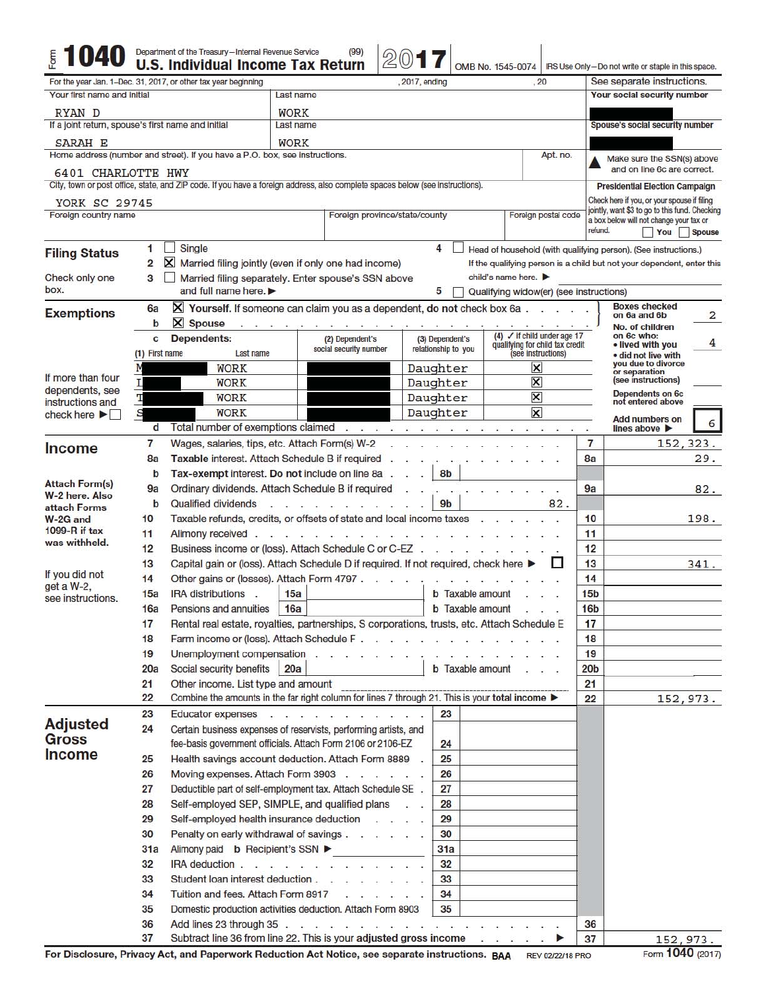|                                                                        |                 | Department of the Treasury-Internal Revenue Service<br><b>U.S. Individual Income Tax Return</b>                               | (99)                                           | 20(0)            |                                                                        |                         | OMB No. 1545-0074                                                         |                     |                                 | IRS Use Only-Do not write or staple in this space.                                   |               |
|------------------------------------------------------------------------|-----------------|-------------------------------------------------------------------------------------------------------------------------------|------------------------------------------------|------------------|------------------------------------------------------------------------|-------------------------|---------------------------------------------------------------------------|---------------------|---------------------------------|--------------------------------------------------------------------------------------|---------------|
|                                                                        |                 | For the year Jan. 1-Dec. 31, 2017, or other tax year beginning                                                                | , 2017, ending<br>, 20                         |                  |                                                                        |                         |                                                                           |                     |                                 | See separate instructions.                                                           |               |
| Your first name and initial                                            |                 |                                                                                                                               | Last name                                      |                  |                                                                        |                         |                                                                           |                     |                                 | Your social security number                                                          |               |
| RYAN D                                                                 |                 |                                                                                                                               | <b>WORK</b><br>Last name                       |                  |                                                                        |                         |                                                                           |                     |                                 |                                                                                      |               |
| If a joint return, spouse's first name and initial                     |                 |                                                                                                                               |                                                |                  |                                                                        |                         |                                                                           |                     | Spouse's social security number |                                                                                      |               |
| SARAH E                                                                |                 |                                                                                                                               | <b>WORK</b>                                    |                  |                                                                        |                         |                                                                           |                     |                                 |                                                                                      |               |
|                                                                        |                 | Home address (number and street). If you have a P.O. box, see instructions.                                                   |                                                |                  |                                                                        |                         |                                                                           | Apt. no.            |                                 | Make sure the SSN(s) above<br>and on line 6c are correct.                            |               |
| 6401 CHARLOTTE HWY                                                     |                 | City, town or post office, state, and ZIP code. If you have a foreign address, also complete spaces below (see instructions). |                                                |                  |                                                                        |                         |                                                                           |                     |                                 |                                                                                      |               |
|                                                                        |                 |                                                                                                                               |                                                |                  |                                                                        |                         |                                                                           |                     |                                 | <b>Presidential Election Campaign</b><br>Check here if you, or your spouse if filing |               |
| YORK SC 29745<br>Foreign country name<br>Foreign province/state/county |                 |                                                                                                                               |                                                |                  |                                                                        |                         |                                                                           | Foreign postal code |                                 | jointly, want \$3 to go to this fund. Checking                                       |               |
|                                                                        |                 |                                                                                                                               |                                                |                  |                                                                        |                         |                                                                           |                     | refund.                         | a box below will not change your tax or<br>You                                       | <b>Spouse</b> |
|                                                                        | 1               | Single                                                                                                                        |                                                |                  | 4                                                                      |                         |                                                                           |                     |                                 | Head of household (with qualifying person). (See instructions.)                      |               |
| <b>Filing Status</b>                                                   | 2               | Married filing jointly (even if only one had income)                                                                          |                                                |                  | If the qualifying person is a child but not your dependent, enter this |                         |                                                                           |                     |                                 |                                                                                      |               |
| Check only one                                                         | 3               | Married filing separately. Enter spouse's SSN above                                                                           | child's name here.                             |                  |                                                                        |                         |                                                                           |                     |                                 |                                                                                      |               |
| box.                                                                   |                 | and full name here.                                                                                                           | Qualifying widow(er) (see instructions)        |                  |                                                                        |                         |                                                                           |                     |                                 |                                                                                      |               |
| <b>Exemptions</b>                                                      | 6a              | X Yourself. If someone can claim you as a dependent, do not check box 6a.                                                     |                                                |                  |                                                                        |                         |                                                                           |                     |                                 | <b>Boxes checked</b><br>on 6a and 6b                                                 | 2             |
|                                                                        | b               | X Spouse<br>and the contract of the contract and the                                                                          |                                                |                  |                                                                        |                         |                                                                           |                     |                                 | No. of children                                                                      |               |
|                                                                        | c               | Dependents:                                                                                                                   | (2) Dependent's<br>social security number      |                  | (3) Dependent's<br>relationship to you                                 |                         | (4) $\checkmark$ if child under age 17<br>qualifying for child tax credit |                     |                                 | on 6c who:<br>• lived with you                                                       | 4             |
|                                                                        | (1) First name  | Last name                                                                                                                     |                                                |                  |                                                                        |                         | (see instructions)                                                        |                     |                                 | · did not live with<br>vou due to divorce                                            |               |
| If more than four                                                      |                 | <b>WORK</b>                                                                                                                   |                                                |                  | Daughter                                                               |                         | ×                                                                         |                     |                                 | or separation<br>(see instructions)                                                  |               |
| dependents, see                                                        | Т<br>т          | <b>WORK</b><br><b>WORK</b>                                                                                                    |                                                |                  | Daughter                                                               |                         | $\boldsymbol{\mathsf{x}}$<br>$\boldsymbol{\mathsf{x}}$                    |                     |                                 | Dependents on 6c                                                                     |               |
| instructions and                                                       | S               | <b>WORK</b>                                                                                                                   |                                                |                  | Daughter<br>Daughter                                                   |                         | $\overline{\mathsf{x}}$                                                   |                     |                                 | not entered above                                                                    |               |
| check here                                                             | d               | Total number of exemptions claimed                                                                                            |                                                | .                |                                                                        |                         | $\sim$                                                                    |                     | ×                               | Add numbers on<br>lines above                                                        | 6             |
|                                                                        | $\overline{7}$  | Wages, salaries, tips, etc. Attach Form(s) W-2                                                                                |                                                |                  |                                                                        |                         |                                                                           |                     | 7                               |                                                                                      | 152, 323.     |
| <b>Income</b>                                                          | 8a              | Taxable interest. Attach Schedule B if required                                                                               |                                                |                  |                                                                        |                         |                                                                           |                     | 8a                              |                                                                                      | 29.           |
|                                                                        | $\mathbf b$     | Tax-exempt interest. Do not include on line 8a.                                                                               |                                                |                  | 8b                                                                     |                         |                                                                           |                     |                                 |                                                                                      |               |
| <b>Attach Form(s)</b>                                                  | 9a              | Ordinary dividends. Attach Schedule B if required                                                                             |                                                |                  |                                                                        |                         |                                                                           |                     | 9a                              |                                                                                      | 82.           |
| W-2 here. Also<br>attach Forms                                         | $\mathbf b$     | <b>Qualified dividends</b>                                                                                                    | $\mathbf{r}$ and $\mathbf{r}$ and $\mathbf{r}$ |                  | 9 <sub>b</sub>                                                         |                         |                                                                           | 82.                 |                                 |                                                                                      |               |
| W-2G and                                                               | 10 <sup>1</sup> | Taxable refunds, credits, or offsets of state and local income taxes                                                          |                                                |                  |                                                                        |                         |                                                                           |                     | 10                              |                                                                                      | 198.          |
| 1099- $R$ if tax<br>was withheld.                                      | 11              | Alimony received.<br>$\sim$ $ \sim$                                                                                           |                                                |                  |                                                                        |                         |                                                                           |                     | 11                              |                                                                                      |               |
|                                                                        | 12              | Business income or (loss). Attach Schedule C or C-EZ                                                                          |                                                |                  |                                                                        |                         |                                                                           |                     | 12                              |                                                                                      |               |
| If you did not                                                         | 13              | Capital gain or (loss). Attach Schedule D if required. If not required, check here ▶                                          |                                                |                  |                                                                        |                         |                                                                           | U                   | 13                              |                                                                                      | 341.          |
| $get a W-2.$                                                           | 14              | Other gains or (losses). Attach Form 4797.                                                                                    |                                                |                  |                                                                        | <b>b</b> Taxable amount |                                                                           |                     | 14<br>15 <sub>b</sub>           |                                                                                      |               |
| see instructions.                                                      | 15a             | IRA distributions.                                                                                                            | 15a<br>16a                                     |                  |                                                                        | <b>b</b> Taxable amount |                                                                           |                     | 16 <sub>b</sub>                 |                                                                                      |               |
|                                                                        | 16a<br>17       | Pensions and annuities                                                                                                        |                                                |                  |                                                                        |                         |                                                                           |                     | 17                              |                                                                                      |               |
|                                                                        | 18              | Rental real estate, royalties, partnerships, S corporations, trusts, etc. Attach Schedule E                                   |                                                |                  |                                                                        |                         |                                                                           |                     | 18                              |                                                                                      |               |
|                                                                        | 19              | Unemployment compensation                                                                                                     |                                                |                  |                                                                        |                         |                                                                           |                     | 19                              |                                                                                      |               |
|                                                                        | 20a             | Social security benefits                                                                                                      | 20a                                            |                  |                                                                        |                         | <b>b</b> Taxable amount                                                   |                     | 20 <sub>b</sub>                 |                                                                                      |               |
|                                                                        | 21              | Other income. List type and amount                                                                                            |                                                |                  |                                                                        |                         |                                                                           |                     | 21                              |                                                                                      |               |
|                                                                        | 22              | Combine the amounts in the far right column for lines 7 through 21. This is your total income ▶                               |                                                |                  |                                                                        |                         |                                                                           |                     | 22                              |                                                                                      | 152,973.      |
|                                                                        | 23              | Educator expenses                                                                                                             |                                                |                  | 23                                                                     |                         |                                                                           |                     |                                 |                                                                                      |               |
| <b>Adjusted</b><br><b>Gross</b>                                        | 24              | Certain business expenses of reservists, performing artists, and                                                              |                                                |                  |                                                                        |                         |                                                                           |                     |                                 |                                                                                      |               |
| <b>Income</b>                                                          |                 | fee-basis government officials. Attach Form 2106 or 2106-EZ                                                                   |                                                |                  | 24                                                                     |                         |                                                                           |                     |                                 |                                                                                      |               |
|                                                                        | 25              | Health savings account deduction. Attach Form 8889 .                                                                          |                                                |                  | 25                                                                     |                         |                                                                           |                     |                                 |                                                                                      |               |
|                                                                        | 26<br>27        | Moving expenses. Attach Form 3903<br>Deductible part of self-employment tax. Attach Schedule SE .                             |                                                |                  | 26<br>27                                                               |                         |                                                                           |                     |                                 |                                                                                      |               |
|                                                                        | 28              | Self-employed SEP, SIMPLE, and qualified plans                                                                                |                                                |                  | 28                                                                     |                         |                                                                           |                     |                                 |                                                                                      |               |
|                                                                        | 29              | Self-employed health insurance deduction                                                                                      |                                                |                  | 29                                                                     |                         |                                                                           |                     |                                 |                                                                                      |               |
|                                                                        | 30              | Penalty on early withdrawal of savings                                                                                        |                                                |                  | 30                                                                     |                         |                                                                           |                     |                                 |                                                                                      |               |
|                                                                        | 31a             | Alimony paid <b>b</b> Recipient's SSN ▶                                                                                       |                                                |                  | 31a                                                                    |                         |                                                                           |                     |                                 |                                                                                      |               |
|                                                                        | 32              | IRA deduction                                                                                                                 |                                                |                  | 32                                                                     |                         |                                                                           |                     |                                 |                                                                                      |               |
|                                                                        | 33              | Student loan interest deduction                                                                                               |                                                |                  | 33                                                                     |                         |                                                                           |                     |                                 |                                                                                      |               |
|                                                                        | 34              | Tuition and fees. Attach Form 8917                                                                                            |                                                | and a series and | 34                                                                     |                         |                                                                           |                     |                                 |                                                                                      |               |
|                                                                        | 35              | Domestic production activities deduction. Attach Form 8903                                                                    |                                                |                  | 35                                                                     |                         |                                                                           |                     |                                 |                                                                                      |               |
|                                                                        | 36              | Add lines 23 through 35                                                                                                       |                                                |                  |                                                                        |                         |                                                                           |                     | 36                              |                                                                                      |               |
|                                                                        | 37              | Subtract line 36 from line 22. This is your adjusted gross income                                                             |                                                |                  |                                                                        |                         |                                                                           |                     | 37                              |                                                                                      | 152, 973.     |

Form 1040 (2017)